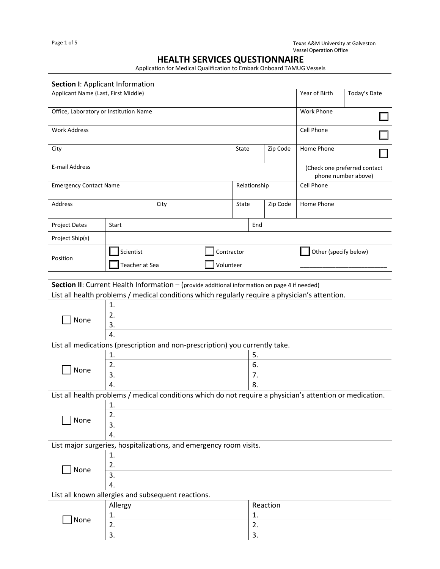Page 1 of 5 Texas A&M University at Galveston Vessel Operation Office

# **HEALTH SERVICES QUESTIONNAIRE**

Application for Medical Qualification to Embark Onboard TAMUG Vessels

| Section I: Applicant Information                                                   |                                     |                                                                                                           |                   |     |                                                     |                       |              |  |
|------------------------------------------------------------------------------------|-------------------------------------|-----------------------------------------------------------------------------------------------------------|-------------------|-----|-----------------------------------------------------|-----------------------|--------------|--|
|                                                                                    | Applicant Name (Last, First Middle) |                                                                                                           |                   |     |                                                     | Year of Birth         | Today's Date |  |
| Office, Laboratory or Institution Name                                             |                                     |                                                                                                           |                   |     |                                                     | Work Phone            |              |  |
|                                                                                    |                                     |                                                                                                           |                   |     |                                                     |                       |              |  |
| <b>Work Address</b>                                                                |                                     |                                                                                                           |                   |     |                                                     | Cell Phone            |              |  |
|                                                                                    |                                     |                                                                                                           |                   |     |                                                     |                       |              |  |
| City                                                                               |                                     |                                                                                                           | State<br>Zip Code |     |                                                     | Home Phone            |              |  |
| E-mail Address                                                                     |                                     |                                                                                                           |                   |     |                                                     |                       |              |  |
|                                                                                    |                                     |                                                                                                           |                   |     | (Check one preferred contact<br>phone number above) |                       |              |  |
| <b>Emergency Contact Name</b>                                                      |                                     |                                                                                                           | Relationship      |     |                                                     | Cell Phone            |              |  |
|                                                                                    |                                     |                                                                                                           |                   |     |                                                     |                       |              |  |
| Address                                                                            |                                     | City                                                                                                      | State             |     | Zip Code                                            | Home Phone            |              |  |
| <b>Project Dates</b>                                                               | Start                               |                                                                                                           |                   | End |                                                     |                       |              |  |
|                                                                                    |                                     |                                                                                                           |                   |     |                                                     |                       |              |  |
| Project Ship(s)                                                                    |                                     |                                                                                                           |                   |     |                                                     |                       |              |  |
| Position                                                                           | Scientist                           | Contractor                                                                                                |                   |     |                                                     | Other (specify below) |              |  |
|                                                                                    | Teacher at Sea                      | Volunteer                                                                                                 |                   |     |                                                     |                       |              |  |
|                                                                                    |                                     |                                                                                                           |                   |     |                                                     |                       |              |  |
|                                                                                    |                                     | Section II: Current Health Information - (provide additional information on page 4 if needed)             |                   |     |                                                     |                       |              |  |
|                                                                                    |                                     | List all health problems / medical conditions which regularly require a physician's attention.            |                   |     |                                                     |                       |              |  |
|                                                                                    | 1.                                  |                                                                                                           |                   |     |                                                     |                       |              |  |
| None                                                                               | 2.                                  |                                                                                                           |                   |     |                                                     |                       |              |  |
|                                                                                    | 3.                                  |                                                                                                           |                   |     |                                                     |                       |              |  |
| 4.<br>List all medications (prescription and non-prescription) you currently take. |                                     |                                                                                                           |                   |     |                                                     |                       |              |  |
|                                                                                    | 1.                                  |                                                                                                           |                   | 5.  |                                                     |                       |              |  |
|                                                                                    | 2.                                  |                                                                                                           |                   | 6.  |                                                     |                       |              |  |
| None                                                                               | 3.                                  |                                                                                                           |                   | 7.  |                                                     |                       |              |  |
|                                                                                    | 4.                                  |                                                                                                           |                   | 8.  |                                                     |                       |              |  |
|                                                                                    |                                     | List all health problems / medical conditions which do not require a physician's attention or medication. |                   |     |                                                     |                       |              |  |
|                                                                                    | 1.                                  |                                                                                                           |                   |     |                                                     |                       |              |  |
| None                                                                               | 2.                                  |                                                                                                           |                   |     |                                                     |                       |              |  |
|                                                                                    | 3.                                  |                                                                                                           |                   |     |                                                     |                       |              |  |
|                                                                                    | 4.                                  |                                                                                                           |                   |     |                                                     |                       |              |  |
|                                                                                    |                                     | List major surgeries, hospitalizations, and emergency room visits.                                        |                   |     |                                                     |                       |              |  |
|                                                                                    | 1.                                  |                                                                                                           |                   |     |                                                     |                       |              |  |
| None                                                                               | 2.                                  |                                                                                                           |                   |     |                                                     |                       |              |  |
|                                                                                    | 3.                                  |                                                                                                           |                   |     |                                                     |                       |              |  |
| 4.                                                                                 |                                     |                                                                                                           |                   |     |                                                     |                       |              |  |
| List all known allergies and subsequent reactions.<br>Reaction                     |                                     |                                                                                                           |                   |     |                                                     |                       |              |  |
|                                                                                    | Allergy<br>1.                       |                                                                                                           |                   | 1.  |                                                     |                       |              |  |
| Mone                                                                               | 2.                                  |                                                                                                           |                   | 2.  |                                                     |                       |              |  |
|                                                                                    | 3.                                  |                                                                                                           |                   | 3.  |                                                     |                       |              |  |
|                                                                                    |                                     |                                                                                                           |                   |     |                                                     |                       |              |  |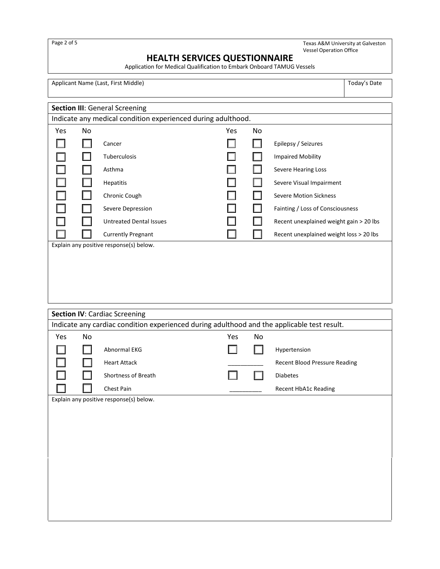Texas A&M University at Galveston Vessel Operation Office

# **HEALTH SERVICES QUESTIONNAIRE**

Application for Medical Qualification to Embark Onboard TAMUG Vessels

Applicant Name (Last, First Middle) Today's Date

| <b>Section III: General Screening</b>                        |    |                                         |     |    |                                         |
|--------------------------------------------------------------|----|-----------------------------------------|-----|----|-----------------------------------------|
| Indicate any medical condition experienced during adulthood. |    |                                         |     |    |                                         |
| Yes                                                          | No |                                         | Yes | No |                                         |
|                                                              |    | Cancer                                  |     |    | Epilepsy / Seizures                     |
|                                                              |    | Tuberculosis                            |     |    | <b>Impaired Mobility</b>                |
|                                                              |    | Asthma                                  |     |    | Severe Hearing Loss                     |
|                                                              |    | <b>Hepatitis</b>                        |     |    | Severe Visual Impairment                |
|                                                              |    | Chronic Cough                           |     |    | <b>Severe Motion Sickness</b>           |
|                                                              |    | Severe Depression                       |     |    | Fainting / Loss of Consciousness        |
|                                                              |    | <b>Untreated Dental Issues</b>          |     |    | Recent unexplained weight gain > 20 lbs |
|                                                              |    | <b>Currently Pregnant</b>               |     |    | Recent unexplained weight loss > 20 lbs |
|                                                              |    | Explain any positive response(s) below. |     |    |                                         |
|                                                              |    |                                         |     |    |                                         |
|                                                              |    |                                         |     |    |                                         |
|                                                              |    |                                         |     |    |                                         |
|                                                              |    |                                         |     |    |                                         |
|                                                              |    |                                         |     |    |                                         |
|                                                              |    |                                         |     |    |                                         |
| <b>Section IV: Cardiac Screening</b>                         |    |                                         |     |    |                                         |

| <b>Section IV:</b> Cardiac Screening                                                        |    |                                         |     |    |                                      |
|---------------------------------------------------------------------------------------------|----|-----------------------------------------|-----|----|--------------------------------------|
| Indicate any cardiac condition experienced during adulthood and the applicable test result. |    |                                         |     |    |                                      |
| Yes                                                                                         | No |                                         | Yes | No |                                      |
|                                                                                             |    | Abnormal EKG                            |     |    | Hypertension                         |
|                                                                                             |    | <b>Heart Attack</b>                     |     |    | <b>Recent Blood Pressure Reading</b> |
|                                                                                             |    | Shortness of Breath                     |     |    | Diabetes                             |
|                                                                                             |    | Chest Pain                              |     |    | Recent HbA1c Reading                 |
|                                                                                             |    | Explain any positive response(s) below. |     |    |                                      |
|                                                                                             |    |                                         |     |    |                                      |
|                                                                                             |    |                                         |     |    |                                      |
|                                                                                             |    |                                         |     |    |                                      |
|                                                                                             |    |                                         |     |    |                                      |
|                                                                                             |    |                                         |     |    |                                      |
|                                                                                             |    |                                         |     |    |                                      |
|                                                                                             |    |                                         |     |    |                                      |
|                                                                                             |    |                                         |     |    |                                      |
|                                                                                             |    |                                         |     |    |                                      |
|                                                                                             |    |                                         |     |    |                                      |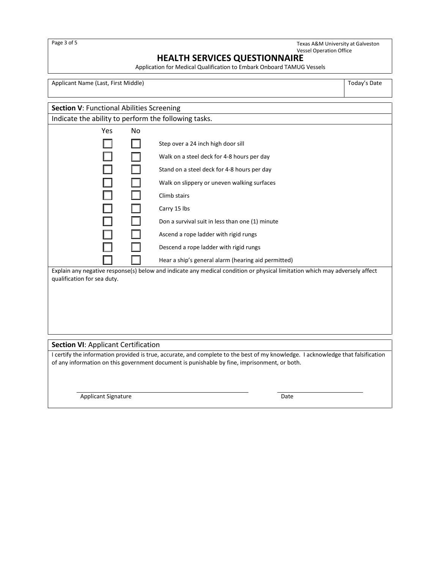Texas A&M University at Galveston Vessel Operation Office

# **HEALTH SERVICES QUESTIONNAIRE**

Application for Medical Qualification to Embark Onboard TAMUG Vessels

Applicant Name (Last, First Middle) Today's Date

| <b>Section V: Functional Abilities Screening</b>     |     |                                                                                                                             |  |  |
|------------------------------------------------------|-----|-----------------------------------------------------------------------------------------------------------------------------|--|--|
| Indicate the ability to perform the following tasks. |     |                                                                                                                             |  |  |
| <b>Yes</b>                                           | No. |                                                                                                                             |  |  |
|                                                      |     | Step over a 24 inch high door sill                                                                                          |  |  |
|                                                      |     | Walk on a steel deck for 4-8 hours per day                                                                                  |  |  |
|                                                      |     | Stand on a steel deck for 4-8 hours per day                                                                                 |  |  |
|                                                      |     | Walk on slippery or uneven walking surfaces                                                                                 |  |  |
|                                                      |     | Climb stairs                                                                                                                |  |  |
|                                                      |     | Carry 15 lbs                                                                                                                |  |  |
|                                                      |     | Don a survival suit in less than one (1) minute                                                                             |  |  |
|                                                      |     | Ascend a rope ladder with rigid rungs                                                                                       |  |  |
|                                                      |     | Descend a rope ladder with rigid rungs                                                                                      |  |  |
|                                                      |     | Hear a ship's general alarm (hearing aid permitted)                                                                         |  |  |
| qualification for sea duty.                          |     | Explain any negative response(s) below and indicate any medical condition or physical limitation which may adversely affect |  |  |

#### **Section VI**: Applicant Certification

I certify the information provided is true, accurate, and complete to the best of my knowledge. I acknowledge that falsification of any information on this government document is punishable by fine, imprisonment, or both.

Applicant Signature Date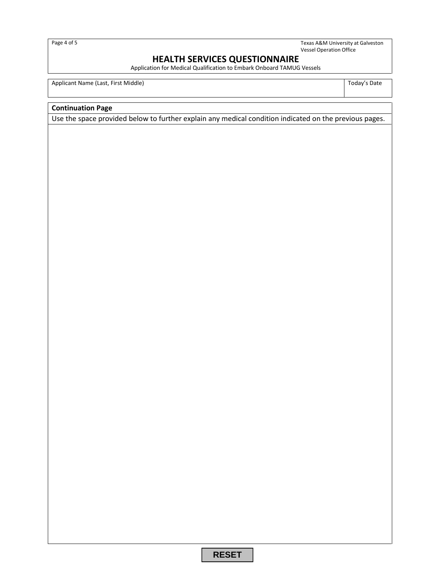Page 4 of 5

Texas A&M University at Galveston Vessel Operation Office

# **HEALTH SERVICES QUESTIONNAIRE**

Application for Medical Qualification to Embark Onboard TAMUG Vessels

Applicant Name (Last, First Middle) **Today's Date** 

## **Continuation Page**

Use the space provided below to further explain any medical condition indicated on the previous pages.